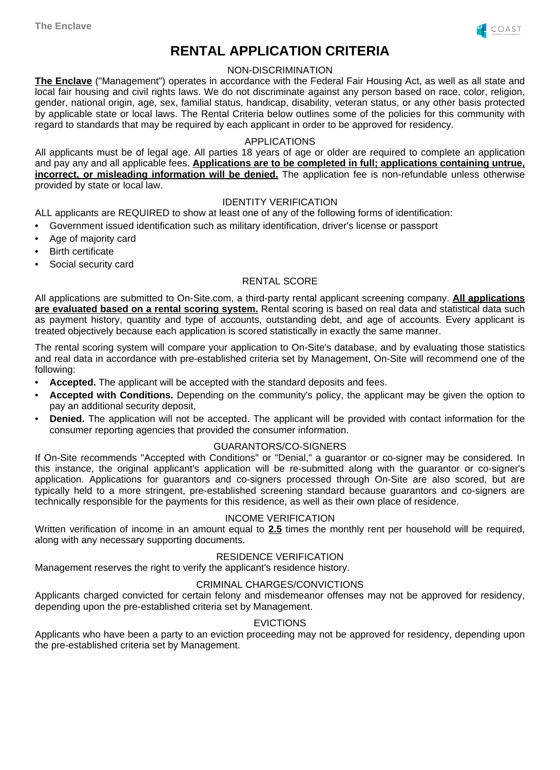

# **RENTAL APPLICATION CRITERIA**

#### NON-DISCRIMINATION

**The Enclave** ("Management") operates in accordance with the Federal Fair Housing Act, as well as all state and local fair housing and civil rights laws. We do not discriminate against any person based on race, color, religion, gender, national origin, age, sex, familial status, handicap, disability, veteran status, or any other basis protected by applicable state or local laws. The Rental Criteria below outlines some of the policies for this community with regard to standards that may be required by each applicant in order to be approved for residency.

# APPLICATIONS

All applicants must be of legal age. All parties 18 years of age or older are required to complete an application and pay any and all applicable fees. **Applications are to be completed in full; applications containing untrue, incorrect, or misleading information will be denied.** The application fee is non-refundable unless otherwise provided by state or local law.

# IDENTITY VERIFICATION

ALL applicants are REQUIRED to show at least one of any of the following forms of identification:

- Government issued identification such as military identification, driver's license or passport
- Age of majority card
- **Birth certificate**
- Social security card

# RENTAL SCORE

All applications are submitted to On-Site.com, a third-party rental applicant screening company. **All applications are evaluated based on a rental scoring system.** Rental scoring is based on real data and statistical data such as payment history, quantity and type of accounts, outstanding debt, and age of accounts. Every applicant is treated objectively because each application is scored statistically in exactly the same manner.

The rental scoring system will compare your application to On-Site's database, and by evaluating those statistics and real data in accordance with pre-established criteria set by Management, On-Site will recommend one of the following:

- **Accepted.** The applicant will be accepted with the standard deposits and fees.
- **Accepted with Conditions.** Depending on the community's policy, the applicant may be given the option to pay an additional security deposit,
- **Denied.** The application will not be accepted. The applicant will be provided with contact information for the consumer reporting agencies that provided the consumer information.

#### GUARANTORS/CO-SIGNERS

If On-Site recommends "Accepted with Conditions" or "Denial," a guarantor or co-signer may be considered. In this instance, the original applicant's application will be re-submitted along with the guarantor or co-signer's application. Applications for guarantors and co-signers processed through On-Site are also scored, but are typically held to a more stringent, pre-established screening standard because guarantors and co-signers are technically responsible for the payments for this residence, as well as their own place of residence.

# INCOME VERIFICATION

Written verification of income in an amount equal to **2.5** times the monthly rent per household will be required, along with any necessary supporting documents.

# RESIDENCE VERIFICATION

Management reserves the right to verify the applicant's residence history.

#### CRIMINAL CHARGES/CONVICTIONS

Applicants charged convicted for certain felony and misdemeanor offenses may not be approved for residency, depending upon the pre-established criteria set by Management.

#### **EVICTIONS**

Applicants who have been a party to an eviction proceeding may not be approved for residency, depending upon the pre-established criteria set by Management.